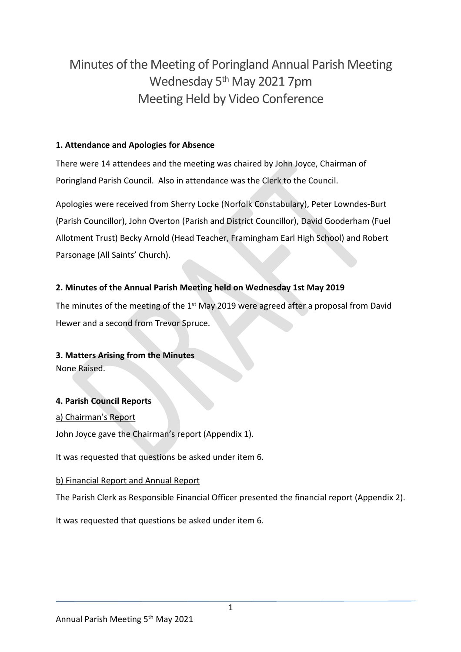# Minutes of the Meeting of Poringland Annual Parish Meeting Wednesday 5th May 2021 7pm Meeting Held by Video Conference

# **1. Attendance and Apologies for Absence**

There were 14 attendees and the meeting was chaired by John Joyce, Chairman of Poringland Parish Council. Also in attendance was the Clerk to the Council.

Apologies were received from Sherry Locke (Norfolk Constabulary), Peter Lowndes-Burt (Parish Councillor), John Overton (Parish and District Councillor), David Gooderham (Fuel Allotment Trust) Becky Arnold (Head Teacher, Framingham Earl High School) and Robert Parsonage (All Saints' Church).

# **2. Minutes of the Annual Parish Meeting held on Wednesday 1st May 2019**

The minutes of the meeting of the 1<sup>st</sup> May 2019 were agreed after a proposal from David Hewer and a second from Trevor Spruce.

# **3. Matters Arising from the Minutes**

None Raised.

# **4. Parish Council Reports**

### a) Chairman's Report

John Joyce gave the Chairman's report (Appendix 1).

It was requested that questions be asked under item 6.

### b) Financial Report and Annual Report

The Parish Clerk as Responsible Financial Officer presented the financial report (Appendix 2).

It was requested that questions be asked under item 6.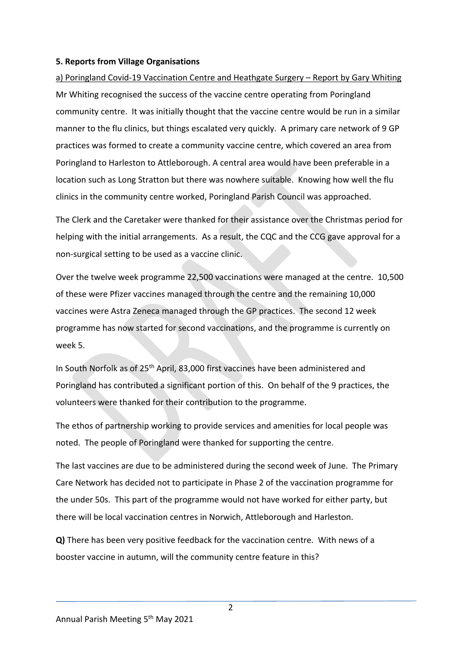### **5. Reports from Village Organisations**

a) Poringland Covid-19 Vaccination Centre and Heathgate Surgery – Report by Gary Whiting Mr Whiting recognised the success of the vaccine centre operating from Poringland community centre. It was initially thought that the vaccine centre would be run in a similar manner to the flu clinics, but things escalated very quickly. A primary care network of 9 GP practices was formed to create a community vaccine centre, which covered an area from Poringland to Harleston to Attleborough. A central area would have been preferable in a location such as Long Stratton but there was nowhere suitable. Knowing how well the flu clinics in the community centre worked, Poringland Parish Council was approached.

The Clerk and the Caretaker were thanked for their assistance over the Christmas period for helping with the initial arrangements. As a result, the CQC and the CCG gave approval for a non-surgical setting to be used as a vaccine clinic.

Over the twelve week programme 22,500 vaccinations were managed at the centre. 10,500 of these were Pfizer vaccines managed through the centre and the remaining 10,000 vaccines were Astra Zeneca managed through the GP practices. The second 12 week programme has now started for second vaccinations, and the programme is currently on week 5.

In South Norfolk as of 25th April, 83,000 first vaccines have been administered and Poringland has contributed a significant portion of this. On behalf of the 9 practices, the volunteers were thanked for their contribution to the programme.

The ethos of partnership working to provide services and amenities for local people was noted. The people of Poringland were thanked for supporting the centre.

The last vaccines are due to be administered during the second week of June. The Primary Care Network has decided not to participate in Phase 2 of the vaccination programme for the under 50s. This part of the programme would not have worked for either party, but there will be local vaccination centres in Norwich, Attleborough and Harleston.

**Q)** There has been very positive feedback for the vaccination centre. With news of a booster vaccine in autumn, will the community centre feature in this?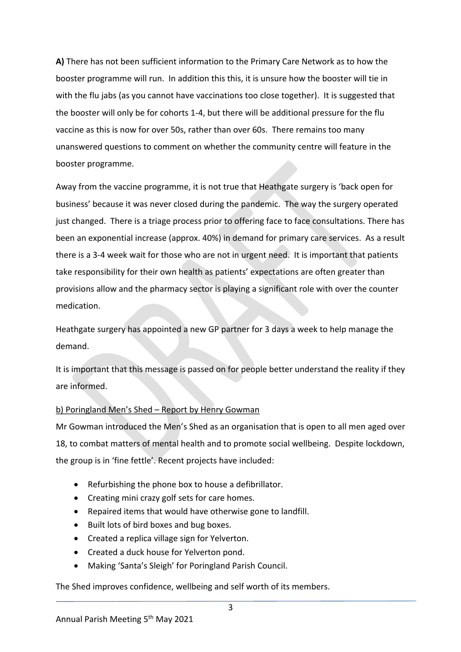**A)** There has not been sufficient information to the Primary Care Network as to how the booster programme will run. In addition this this, it is unsure how the booster will tie in with the flu jabs (as you cannot have vaccinations too close together). It is suggested that the booster will only be for cohorts 1-4, but there will be additional pressure for the flu vaccine as this is now for over 50s, rather than over 60s. There remains too many unanswered questions to comment on whether the community centre will feature in the booster programme.

Away from the vaccine programme, it is not true that Heathgate surgery is 'back open for business' because it was never closed during the pandemic. The way the surgery operated just changed. There is a triage process prior to offering face to face consultations. There has been an exponential increase (approx. 40%) in demand for primary care services. As a result there is a 3-4 week wait for those who are not in urgent need. It is important that patients take responsibility for their own health as patients' expectations are often greater than provisions allow and the pharmacy sector is playing a significant role with over the counter medication.

Heathgate surgery has appointed a new GP partner for 3 days a week to help manage the demand.

It is important that this message is passed on for people better understand the reality if they are informed.

# b) Poringland Men's Shed – Report by Henry Gowman

Mr Gowman introduced the Men's Shed as an organisation that is open to all men aged over 18, to combat matters of mental health and to promote social wellbeing. Despite lockdown, the group is in 'fine fettle'. Recent projects have included:

- Refurbishing the phone box to house a defibrillator.
- Creating mini crazy golf sets for care homes.
- Repaired items that would have otherwise gone to landfill.
- Built lots of bird boxes and bug boxes.
- Created a replica village sign for Yelverton.
- Created a duck house for Yelverton pond.
- Making 'Santa's Sleigh' for Poringland Parish Council.

The Shed improves confidence, wellbeing and self worth of its members.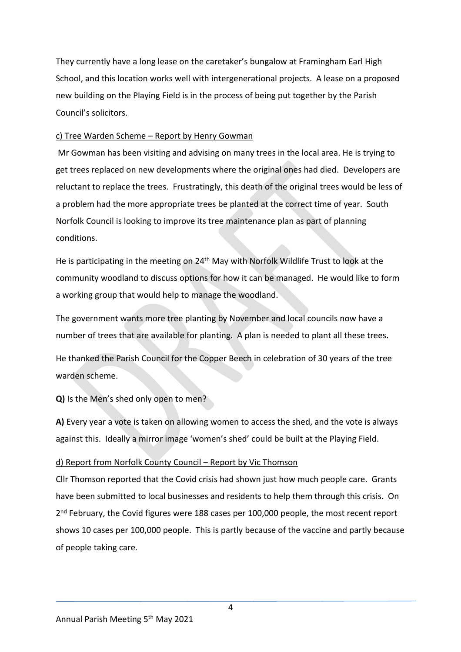They currently have a long lease on the caretaker's bungalow at Framingham Earl High School, and this location works well with intergenerational projects. A lease on a proposed new building on the Playing Field is in the process of being put together by the Parish Council's solicitors.

### c) Tree Warden Scheme – Report by Henry Gowman

 Mr Gowman has been visiting and advising on many trees in the local area. He is trying to get trees replaced on new developments where the original ones had died. Developers are reluctant to replace the trees. Frustratingly, this death of the original trees would be less of a problem had the more appropriate trees be planted at the correct time of year. South Norfolk Council is looking to improve its tree maintenance plan as part of planning conditions.

He is participating in the meeting on 24<sup>th</sup> May with Norfolk Wildlife Trust to look at the community woodland to discuss options for how it can be managed. He would like to form a working group that would help to manage the woodland.

The government wants more tree planting by November and local councils now have a number of trees that are available for planting. A plan is needed to plant all these trees.

He thanked the Parish Council for the Copper Beech in celebration of 30 years of the tree warden scheme.

**Q)** Is the Men's shed only open to men?

**A)** Every year a vote is taken on allowing women to access the shed, and the vote is always against this. Ideally a mirror image 'women's shed' could be built at the Playing Field.

### d) Report from Norfolk County Council – Report by Vic Thomson

Cllr Thomson reported that the Covid crisis had shown just how much people care. Grants have been submitted to local businesses and residents to help them through this crisis. On 2<sup>nd</sup> February, the Covid figures were 188 cases per 100,000 people, the most recent report shows 10 cases per 100,000 people. This is partly because of the vaccine and partly because of people taking care.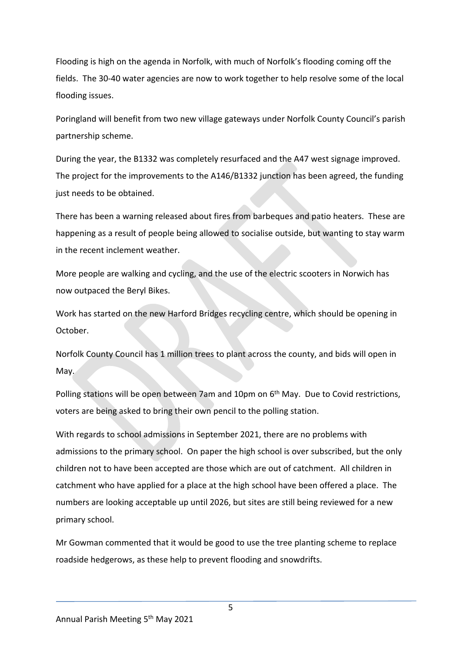Flooding is high on the agenda in Norfolk, with much of Norfolk's flooding coming off the fields. The 30-40 water agencies are now to work together to help resolve some of the local flooding issues.

Poringland will benefit from two new village gateways under Norfolk County Council's parish partnership scheme.

During the year, the B1332 was completely resurfaced and the A47 west signage improved. The project for the improvements to the A146/B1332 junction has been agreed, the funding just needs to be obtained.

There has been a warning released about fires from barbeques and patio heaters. These are happening as a result of people being allowed to socialise outside, but wanting to stay warm in the recent inclement weather.

More people are walking and cycling, and the use of the electric scooters in Norwich has now outpaced the Beryl Bikes.

Work has started on the new Harford Bridges recycling centre, which should be opening in October.

Norfolk County Council has 1 million trees to plant across the county, and bids will open in May.

Polling stations will be open between 7am and 10pm on 6th May. Due to Covid restrictions, voters are being asked to bring their own pencil to the polling station.

With regards to school admissions in September 2021, there are no problems with admissions to the primary school. On paper the high school is over subscribed, but the only children not to have been accepted are those which are out of catchment. All children in catchment who have applied for a place at the high school have been offered a place. The numbers are looking acceptable up until 2026, but sites are still being reviewed for a new primary school.

Mr Gowman commented that it would be good to use the tree planting scheme to replace roadside hedgerows, as these help to prevent flooding and snowdrifts.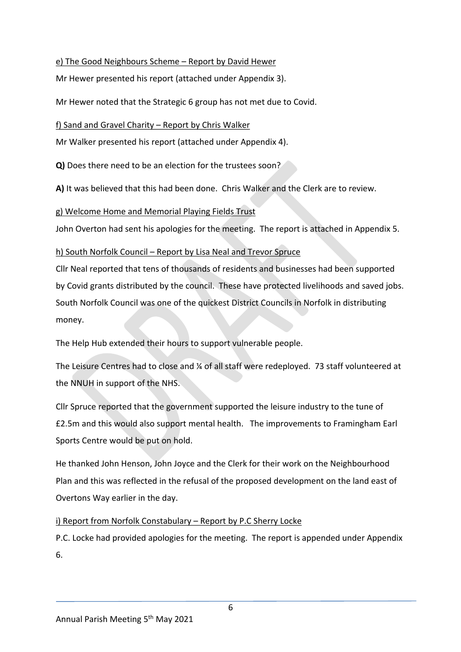### e) The Good Neighbours Scheme – Report by David Hewer

Mr Hewer presented his report (attached under Appendix 3).

Mr Hewer noted that the Strategic 6 group has not met due to Covid.

f) Sand and Gravel Charity – Report by Chris Walker

Mr Walker presented his report (attached under Appendix 4).

**Q)** Does there need to be an election for the trustees soon?

**A)** It was believed that this had been done. Chris Walker and the Clerk are to review.

g) Welcome Home and Memorial Playing Fields Trust

John Overton had sent his apologies for the meeting. The report is attached in Appendix 5.

### h) South Norfolk Council – Report by Lisa Neal and Trevor Spruce

Cllr Neal reported that tens of thousands of residents and businesses had been supported by Covid grants distributed by the council. These have protected livelihoods and saved jobs. South Norfolk Council was one of the quickest District Councils in Norfolk in distributing money.

The Help Hub extended their hours to support vulnerable people.

The Leisure Centres had to close and ¼ of all staff were redeployed. 73 staff volunteered at the NNUH in support of the NHS.

Cllr Spruce reported that the government supported the leisure industry to the tune of £2.5m and this would also support mental health. The improvements to Framingham Earl Sports Centre would be put on hold.

He thanked John Henson, John Joyce and the Clerk for their work on the Neighbourhood Plan and this was reflected in the refusal of the proposed development on the land east of Overtons Way earlier in the day.

# i) Report from Norfolk Constabulary - Report by P.C Sherry Locke

P.C. Locke had provided apologies for the meeting. The report is appended under Appendix 6.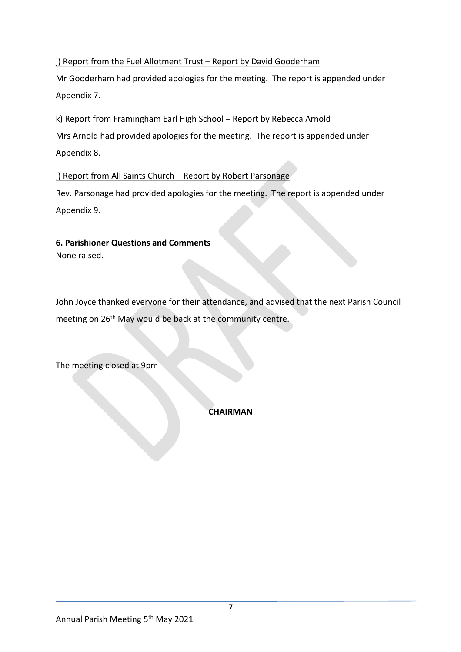# j) Report from the Fuel Allotment Trust - Report by David Gooderham

Mr Gooderham had provided apologies for the meeting. The report is appended under Appendix 7.

k) Report from Framingham Earl High School – Report by Rebecca Arnold Mrs Arnold had provided apologies for the meeting. The report is appended under Appendix 8.

# j) Report from All Saints Church - Report by Robert Parsonage

Rev. Parsonage had provided apologies for the meeting. The report is appended under Appendix 9.

# **6. Parishioner Questions and Comments**

None raised.

John Joyce thanked everyone for their attendance, and advised that the next Parish Council meeting on 26<sup>th</sup> May would be back at the community centre.

The meeting closed at 9pm

**CHAIRMAN**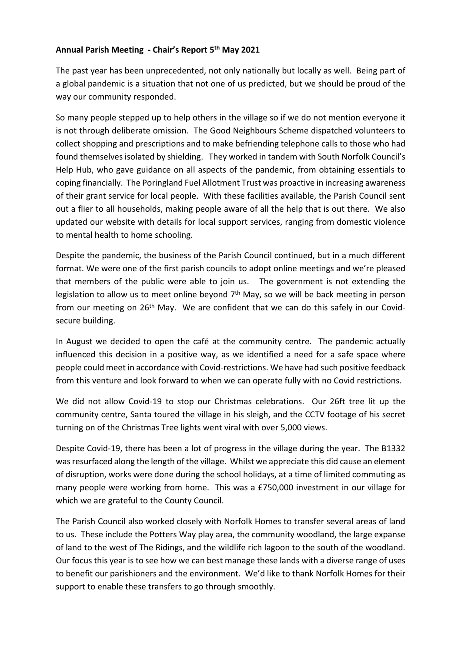### Annual Parish Meeting - Chair's Report 5<sup>th</sup> May 2021

The past year has been unprecedented, not only nationally but locally as well. Being part of a global pandemic is a situation that not one of us predicted, but we should be proud of the way our community responded.

So many people stepped up to help others in the village so if we do not mention everyone it is not through deliberate omission. The Good Neighbours Scheme dispatched volunteers to collect shopping and prescriptions and to make befriending telephone calls to those who had found themselves isolated by shielding. They worked in tandem with South Norfolk Council's Help Hub, who gave guidance on all aspects of the pandemic, from obtaining essentials to coping financially. The Poringland Fuel Allotment Trust was proactive in increasing awareness of their grant service for local people. With these facilities available, the Parish Council sent out a flier to all households, making people aware of all the help that is out there. We also updated our website with details for local support services, ranging from domestic violence to mental health to home schooling.

Despite the pandemic, the business of the Parish Council continued, but in a much different format. We were one of the first parish councils to adopt online meetings and we're pleased that members of the public were able to join us. The government is not extending the legislation to allow us to meet online beyond  $7<sup>th</sup>$  May, so we will be back meeting in person from our meeting on  $26<sup>th</sup>$  May. We are confident that we can do this safely in our Covidsecure building.

In August we decided to open the café at the community centre. The pandemic actually influenced this decision in a positive way, as we identified a need for a safe space where people could meet in accordance with Covid-restrictions. We have had such positive feedback from this venture and look forward to when we can operate fully with no Covid restrictions.

We did not allow Covid-19 to stop our Christmas celebrations. Our 26ft tree lit up the community centre, Santa toured the village in his sleigh, and the CCTV footage of his secret turning on of the Christmas Tree lights went viral with over 5,000 views.

Despite Covid-19, there has been a lot of progress in the village during the year. The B1332 was resurfaced along the length of the village. Whilst we appreciate this did cause an element of disruption, works were done during the school holidays, at a time of limited commuting as many people were working from home. This was a £750,000 investment in our village for which we are grateful to the County Council.

The Parish Council also worked closely with Norfolk Homes to transfer several areas of land to us. These include the Potters Way play area, the community woodland, the large expanse of land to the west of The Ridings, and the wildlife rich lagoon to the south of the woodland. Our focus this year is to see how we can best manage these lands with a diverse range of uses to benefit our parishioners and the environment. We'd like to thank Norfolk Homes for their support to enable these transfers to go through smoothly.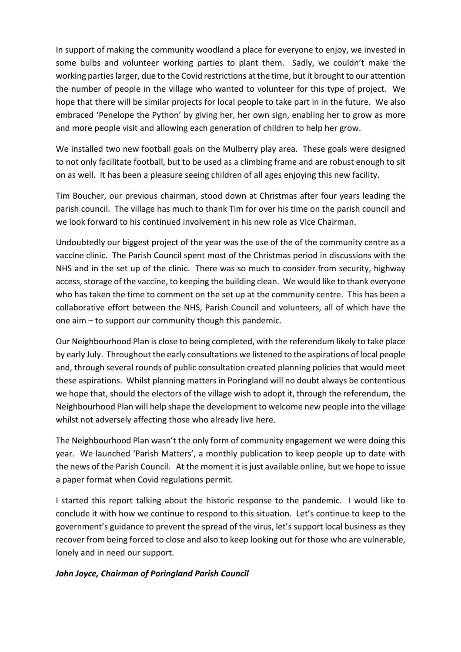In support of making the community woodland a place for everyone to enjoy, we invested in some bulbs and volunteer working parties to plant them. Sadly, we couldn't make the working parties larger, due to the Covid restrictions at the time, but it brought to our attention the number of people in the village who wanted to volunteer for this type of project. We hope that there will be similar projects for local people to take part in in the future. We also embraced 'Penelope the Python' by giving her, her own sign, enabling her to grow as more and more people visit and allowing each generation of children to help her grow.

We installed two new football goals on the Mulberry play area. These goals were designed to not only facilitate football, but to be used as a climbing frame and are robust enough to sit on as well. It has been a pleasure seeing children of all ages enjoying this new facility.

Tim Boucher, our previous chairman, stood down at Christmas after four years leading the parish council. The village has much to thank Tim for over his time on the parish council and we look forward to his continued involvement in his new role as Vice Chairman.

Undoubtedly our biggest project of the year was the use of the of the community centre as a vaccine clinic. The Parish Council spent most of the Christmas period in discussions with the NHS and in the set up of the clinic. There was so much to consider from security, highway access, storage of the vaccine, to keeping the building clean. We would like to thank everyone who has taken the time to comment on the set up at the community centre. This has been a collaborative effort between the NHS, Parish Council and volunteers, all of which have the one aim  $-$  to support our community though this pandemic.

Our Neighbourhood Plan is close to being completed, with the referendum likely to take place by early July. Throughout the early consultations we listened to the aspirations of local people and, through several rounds of public consultation created planning policies that would meet these aspirations. Whilst planning matters in Poringland will no doubt always be contentious we hope that, should the electors of the village wish to adopt it, through the referendum, the Neighbourhood Plan will help shape the development to welcome new people into the village whilst not adversely affecting those who already live here.

The Neighbourhood Plan wasn't the only form of community engagement we were doing this year. We launched 'Parish Matters', a monthly publication to keep people up to date with the news of the Parish Council. At the moment it is just available online, but we hope to issue a paper format when Covid regulations permit.

I started this report talking about the historic response to the pandemic. I would like to conclude it with how we continue to respond to this situation. Let's continue to keep to the government's guidance to prevent the spread of the virus, let's support local business as they recover from being forced to close and also to keep looking out for those who are vulnerable, lonely and in need our support.

### *John Joyce, Chairman of Poringland Parish Council*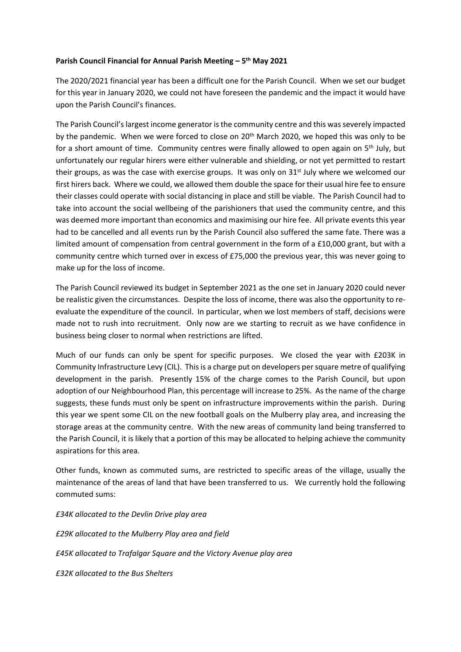### Parish Council Financial for Annual Parish Meeting - 5<sup>th</sup> May 2021

The 2020/2021 financial year has been a difficult one for the Parish Council. When we set our budget for this year in January 2020, we could not have foreseen the pandemic and the impact it would have upon the Parish Council's finances.

The Parish Council's largest income generator is the community centre and this was severely impacted by the pandemic. When we were forced to close on 20<sup>th</sup> March 2020, we hoped this was only to be for a short amount of time. Community centres were finally allowed to open again on 5<sup>th</sup> July, but unfortunately our regular hirers were either vulnerable and shielding, or not yet permitted to restart their groups, as was the case with exercise groups. It was only on  $31<sup>st</sup>$  July where we welcomed our first hirers back. Where we could, we allowed them double the space for their usual hire fee to ensure their classes could operate with social distancing in place and still be viable. The Parish Council had to take into account the social wellbeing of the parishioners that used the community centre, and this was deemed more important than economics and maximising our hire fee. All private events this year had to be cancelled and all events run by the Parish Council also suffered the same fate. There was a limited amount of compensation from central government in the form of a £10,000 grant, but with a community centre which turned over in excess of £75,000 the previous year, this was never going to make up for the loss of income.

The Parish Council reviewed its budget in September 2021 as the one set in January 2020 could never be realistic given the circumstances. Despite the loss of income, there was also the opportunity to reevaluate the expenditure of the council. In particular, when we lost members of staff, decisions were made not to rush into recruitment. Only now are we starting to recruit as we have confidence in business being closer to normal when restrictions are lifted.

Much of our funds can only be spent for specific purposes. We closed the year with £203K in Community Infrastructure Levy (CIL). This is a charge put on developers per square metre of qualifying development in the parish. Presently 15% of the charge comes to the Parish Council, but upon adoption of our Neighbourhood Plan, this percentage will increase to 25%. As the name of the charge suggests, these funds must only be spent on infrastructure improvements within the parish. During this year we spent some CIL on the new football goals on the Mulberry play area, and increasing the storage areas at the community centre. With the new areas of community land being transferred to the Parish Council, it is likely that a portion of this may be allocated to helping achieve the community aspirations for this area.

Other funds, known as commuted sums, are restricted to specific areas of the village, usually the maintenance of the areas of land that have been transferred to us. We currently hold the following commuted sums:

*£34K allocated to the Devlin Drive play area* 

*£29K allocated to the Mulberry Play area and field*

*£45K allocated to Trafalgar Square and the Victory Avenue play area*

*£32K allocated to the Bus Shelters*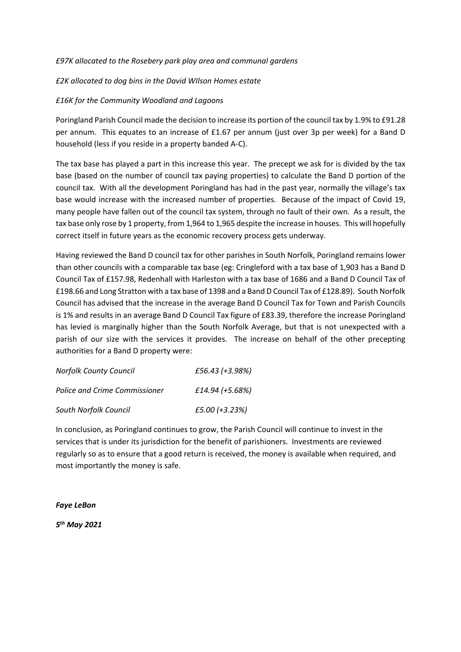### *£97K allocated to the Rosebery park play area and communal gardens*

### *£2K allocated to dog bins in the David WIlson Homes estate*

#### *£16K for the Community Woodland and Lagoons*

Poringland Parish Council made the decision to increase its portion of the council tax by 1.9% to £91.28 per annum. This equates to an increase of £1.67 per annum (just over 3p per week) for a Band D household (less if you reside in a property banded A-C).

The tax base has played a part in this increase this year. The precept we ask for is divided by the tax base (based on the number of council tax paying properties) to calculate the Band D portion of the council tax. With all the development Poringland has had in the past year, normally the village's tax base would increase with the increased number of properties. Because of the impact of Covid 19, many people have fallen out of the council tax system, through no fault of their own. As a result, the tax base only rose by 1 property, from 1,964 to 1,965 despite the increase in houses. This will hopefully correct itself in future years as the economic recovery process gets underway.

Having reviewed the Band D council tax for other parishes in South Norfolk, Poringland remains lower than other councils with a comparable tax base (eg: Cringleford with a tax base of 1,903 has a Band D Council Tax of £157.98, Redenhall with Harleston with a tax base of 1686 and a Band D Council Tax of £198.66 and Long Stratton with a tax base of 1398 and a Band D Council Tax of £128.89). South Norfolk Council has advised that the increase in the average Band D Council Tax for Town and Parish Councils is 1% and results in an average Band D Council Tax figure of £83.39, therefore the increase Poringland has levied is marginally higher than the South Norfolk Average, but that is not unexpected with a parish of our size with the services it provides. The increase on behalf of the other precepting authorities for a Band D property were:

| <b>Norfolk County Council</b> | £56.43 (+3.98%) |
|-------------------------------|-----------------|
| Police and Crime Commissioner | £14.94 (+5.68%) |
| South Norfolk Council         | £5.00 (+3.23%)  |

In conclusion, as Poringland continues to grow, the Parish Council will continue to invest in the services that is under its jurisdiction for the benefit of parishioners. Investments are reviewed regularly so as to ensure that a good return is received, the money is available when required, and most importantly the money is safe.

*Faye LeBon*

*5th May 2021*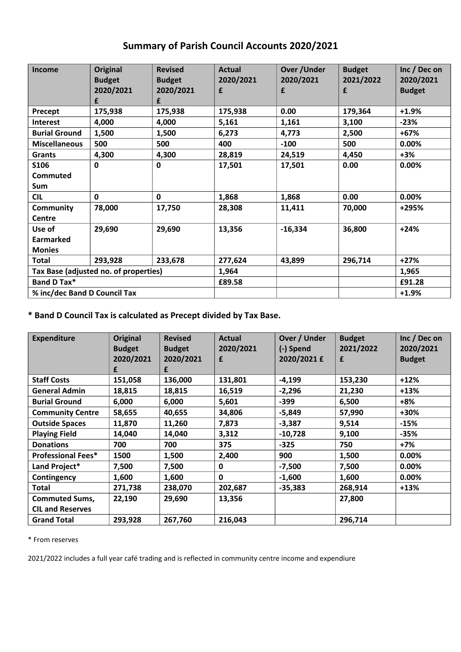# **Summary of Parish Council Accounts 2020/2021**

| Income                                | Original      | <b>Revised</b> | <b>Actual</b> | <b>Over/Under</b> | <b>Budget</b> | Inc / Dec on  |
|---------------------------------------|---------------|----------------|---------------|-------------------|---------------|---------------|
|                                       | <b>Budget</b> | <b>Budget</b>  | 2020/2021     | 2020/2021         | 2021/2022     | 2020/2021     |
|                                       | 2020/2021     | 2020/2021      | £             | £                 | £             | <b>Budget</b> |
|                                       | £             | £              |               |                   |               |               |
| Precept                               | 175,938       | 175,938        | 175,938       | 0.00              | 179,364       | $+1.9%$       |
| <b>Interest</b>                       | 4,000         | 4,000          | 5,161         | 1,161             | 3,100         | $-23%$        |
| <b>Burial Ground</b>                  | 1,500         | 1,500          | 6,273         | 4,773             | 2,500         | +67%          |
| <b>Miscellaneous</b>                  | 500           | 500            | 400           | $-100$            | 500           | 0.00%         |
| Grants                                | 4,300         | 4,300          | 28,819        | 24,519            | 4,450         | $+3%$         |
| S106                                  | 0             | 0              | 17,501        | 17,501            | 0.00          | 0.00%         |
| <b>Commuted</b>                       |               |                |               |                   |               |               |
| Sum                                   |               |                |               |                   |               |               |
| <b>CIL</b>                            | $\mathbf 0$   | 0              | 1,868         | 1,868             | 0.00          | $0.00\%$      |
| Community                             | 78,000        | 17,750         | 28,308        | 11,411            | 70,000        | +295%         |
| Centre                                |               |                |               |                   |               |               |
| Use of                                | 29,690        | 29,690         | 13,356        | $-16,334$         | 36,800        | $+24%$        |
| <b>Earmarked</b>                      |               |                |               |                   |               |               |
| <b>Monies</b>                         |               |                |               |                   |               |               |
| <b>Total</b>                          | 293,928       | 233,678        | 277,624       | 43,899            | 296,714       | $+27%$        |
| Tax Base (adjusted no. of properties) |               |                | 1,964         |                   |               | 1,965         |
| Band D Tax*                           |               |                | £89.58        |                   |               | £91.28        |
| % inc/dec Band D Council Tax          |               |                |               |                   |               | $+1.9%$       |

**\* Band D Council Tax is calculated as Precept divided by Tax Base.**

| <b>Expenditure</b>                               | <b>Original</b><br><b>Budget</b> | <b>Revised</b><br><b>Budget</b> | <b>Actual</b><br>2020/2021 | Over / Under<br>(-) Spend | <b>Budget</b><br>2021/2022 | Inc / Dec on<br>2020/2021 |
|--------------------------------------------------|----------------------------------|---------------------------------|----------------------------|---------------------------|----------------------------|---------------------------|
|                                                  | 2020/2021<br>£                   | 2020/2021<br>£                  | £                          | 2020/2021 £               | £                          | <b>Budget</b>             |
| <b>Staff Costs</b>                               | 151,058                          | 136,000                         | 131,801                    | $-4,199$                  | 153,230                    | $+12%$                    |
| <b>General Admin</b>                             | 18,815                           | 18,815                          | 16,519                     | $-2,296$                  | 21,230                     | $+13%$                    |
| <b>Burial Ground</b>                             | 6,000                            | 6,000                           | 5,601                      | $-399$                    | 6,500                      | $+8%$                     |
| <b>Community Centre</b>                          | 58,655                           | 40,655                          | 34,806                     | $-5,849$                  | 57,990                     | +30%                      |
| <b>Outside Spaces</b>                            | 11,870                           | 11,260                          | 7,873                      | $-3,387$                  | 9,514                      | $-15%$                    |
| <b>Playing Field</b>                             | 14,040                           | 14,040                          | 3,312                      | $-10,728$                 | 9,100                      | $-35%$                    |
| <b>Donations</b>                                 | 700                              | 700                             | 375                        | $-325$                    | 750                        | +7%                       |
| <b>Professional Fees*</b>                        | 1500                             | 1,500                           | 2,400                      | 900                       | 1,500                      | $0.00\%$                  |
| Land Project*                                    | 7,500                            | 7,500                           | 0                          | $-7,500$                  | 7,500                      | 0.00%                     |
| Contingency                                      | 1,600                            | 1,600                           | $\mathbf{0}$               | $-1,600$                  | 1,600                      | $0.00\%$                  |
| Total                                            | 271,738                          | 238,070                         | 202,687                    | $-35,383$                 | 268,914                    | $+13%$                    |
| <b>Commuted Sums,</b><br><b>CIL and Reserves</b> | 22,190                           | 29,690                          | 13,356                     |                           | 27,800                     |                           |
| <b>Grand Total</b>                               | 293,928                          | 267,760                         | 216,043                    |                           | 296,714                    |                           |

\* From reserves

2021/2022 includes a full year café trading and is reflected in community centre income and expendiure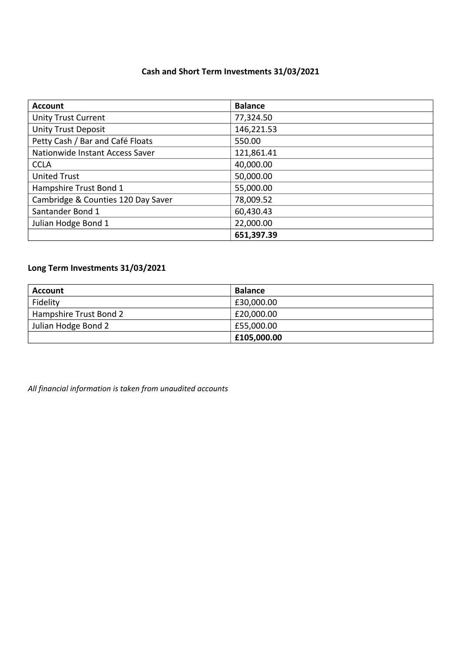# **Cash and Short Term Investments 31/03/2021**

| <b>Account</b>                     | <b>Balance</b> |
|------------------------------------|----------------|
| <b>Unity Trust Current</b>         | 77,324.50      |
| <b>Unity Trust Deposit</b>         | 146,221.53     |
| Petty Cash / Bar and Café Floats   | 550.00         |
| Nationwide Instant Access Saver    | 121,861.41     |
| <b>CCLA</b>                        | 40,000.00      |
| <b>United Trust</b>                | 50,000.00      |
| Hampshire Trust Bond 1             | 55,000.00      |
| Cambridge & Counties 120 Day Saver | 78,009.52      |
| Santander Bond 1                   | 60,430.43      |
| Julian Hodge Bond 1                | 22,000.00      |
|                                    | 651,397.39     |

# **Long Term Investments 31/03/2021**

| Account                | <b>Balance</b> |
|------------------------|----------------|
| Fidelity               | £30,000.00     |
| Hampshire Trust Bond 2 | £20,000.00     |
| Julian Hodge Bond 2    | £55,000.00     |
|                        | £105,000.00    |

*All financial information is taken from unaudited accounts*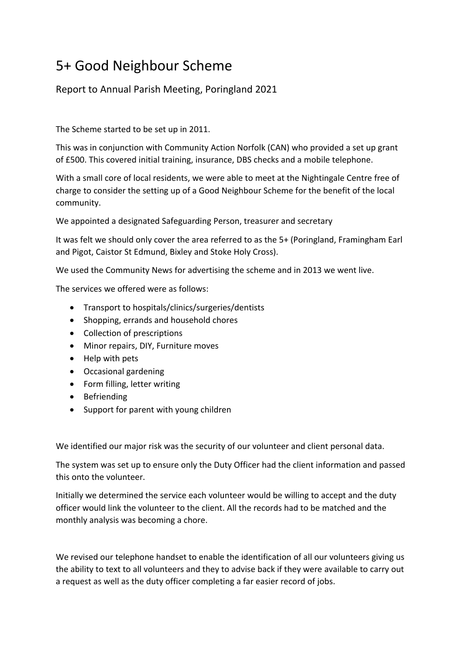# 5+ Good Neighbour Scheme

Report to Annual Parish Meeting, Poringland 2021

The Scheme started to be set up in 2011.

This was in conjunction with Community Action Norfolk (CAN) who provided a set up grant of £500. This covered initial training, insurance, DBS checks and a mobile telephone.

With a small core of local residents, we were able to meet at the Nightingale Centre free of charge to consider the setting up of a Good Neighbour Scheme for the benefit of the local community.

We appointed a designated Safeguarding Person, treasurer and secretary

It was felt we should only cover the area referred to as the 5+ (Poringland, Framingham Earl and Pigot, Caistor St Edmund, Bixley and Stoke Holy Cross).

We used the Community News for advertising the scheme and in 2013 we went live.

The services we offered were as follows:

- Transport to hospitals/clinics/surgeries/dentists
- Shopping, errands and household chores
- Collection of prescriptions
- Minor repairs, DIY, Furniture moves
- Help with pets
- Occasional gardening
- Form filling, letter writing
- Befriending
- Support for parent with young children

We identified our major risk was the security of our volunteer and client personal data.

The system was set up to ensure only the Duty Officer had the client information and passed this onto the volunteer.

Initially we determined the service each volunteer would be willing to accept and the duty officer would link the volunteer to the client. All the records had to be matched and the monthly analysis was becoming a chore.

We revised our telephone handset to enable the identification of all our volunteers giving us the ability to text to all volunteers and they to advise back if they were available to carry out a request as well as the duty officer completing a far easier record of jobs.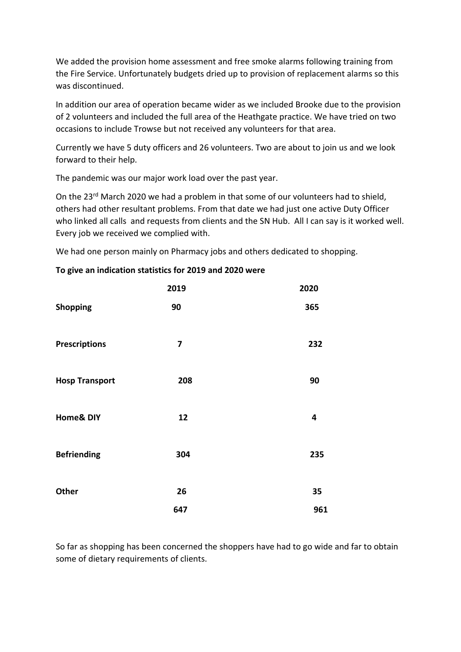We added the provision home assessment and free smoke alarms following training from the Fire Service. Unfortunately budgets dried up to provision of replacement alarms so this was discontinued.

In addition our area of operation became wider as we included Brooke due to the provision of 2 volunteers and included the full area of the Heathgate practice. We have tried on two occasions to include Trowse but not received any volunteers for that area.

Currently we have 5 duty officers and 26 volunteers. Two are about to join us and we look forward to their help.

The pandemic was our major work load over the past year.

On the 23rd March 2020 we had a problem in that some of our volunteers had to shield, others had other resultant problems. From that date we had just one active Duty Officer who linked all calls and requests from clients and the SN Hub. All I can say is it worked well. Every job we received we complied with.

We had one person mainly on Pharmacy jobs and others dedicated to shopping.

|  | To give an indication statistics for 2019 and 2020 were |  |  |  |
|--|---------------------------------------------------------|--|--|--|
|  |                                                         |  |  |  |

|                       | 2019 | 2020 |
|-----------------------|------|------|
| <b>Shopping</b>       | 90   | 365  |
| <b>Prescriptions</b>  | 7    | 232  |
| <b>Hosp Transport</b> | 208  | 90   |
| <b>Home&amp; DIY</b>  | 12   | 4    |
| <b>Befriending</b>    | 304  | 235  |
| Other                 | 26   | 35   |
|                       | 647  | 961  |

So far as shopping has been concerned the shoppers have had to go wide and far to obtain some of dietary requirements of clients.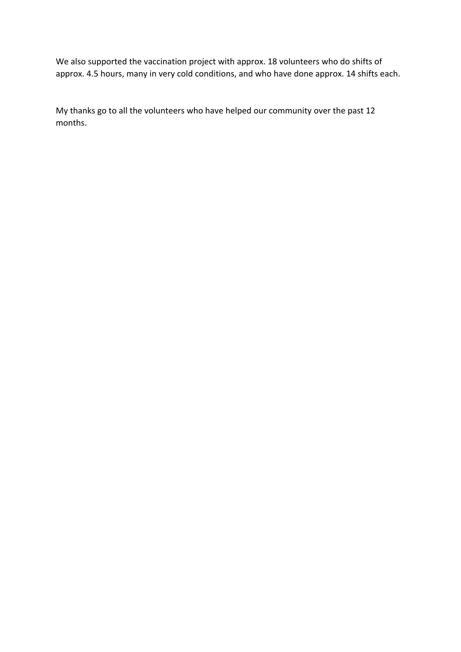We also supported the vaccination project with approx. 18 volunteers who do shifts of approx. 4.5 hours, many in very cold conditions, and who have done approx. 14 shifts each.

My thanks go to all the volunteers who have helped our community over the past 12 months.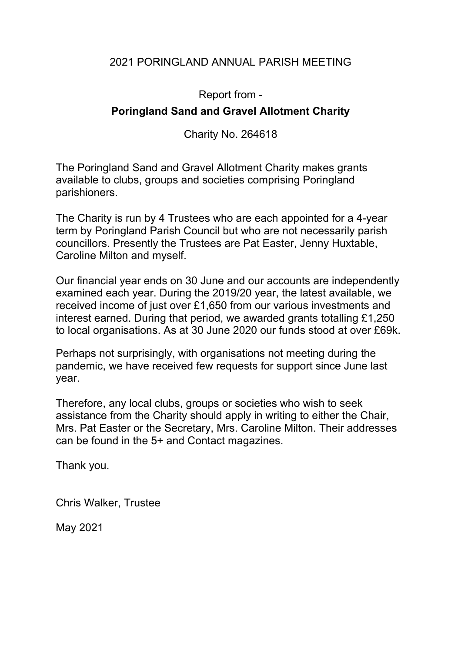# 2021 PORINGLAND ANNUAL PARISH MEETING

Report from -

# **Poringland Sand and Gravel Allotment Charity**

Charity No. 264618

The Poringland Sand and Gravel Allotment Charity makes grants available to clubs, groups and societies comprising Poringland parishioners.

The Charity is run by 4 Trustees who are each appointed for a 4-year term by Poringland Parish Council but who are not necessarily parish councillors. Presently the Trustees are Pat Easter, Jenny Huxtable, Caroline Milton and myself.

Our financial year ends on 30 June and our accounts are independently examined each year. During the 2019/20 year, the latest available, we received income of just over £1,650 from our various investments and interest earned. During that period, we awarded grants totalling £1,250 to local organisations. As at 30 June 2020 our funds stood at over £69k.

Perhaps not surprisingly, with organisations not meeting during the pandemic, we have received few requests for support since June last year.

Therefore, any local clubs, groups or societies who wish to seek assistance from the Charity should apply in writing to either the Chair, Mrs. Pat Easter or the Secretary, Mrs. Caroline Milton. Their addresses can be found in the 5+ and Contact magazines.

Thank you.

Chris Walker, Trustee

May 2021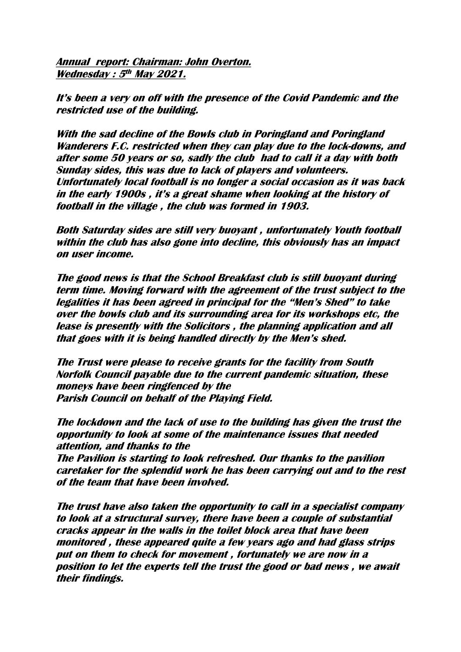**Annual report: Chairman: John Overton. Wednesday : 5th May 2021.**

It's been a very on off with the presence of the Covid Pandemic and the **restricted use of the building.**

**With the sad decline of the Bowls club in Poringland and Poringland Wanderers F.C. restricted when they can play due to the lock-downs, and after some 50 years or so, sadly the club had to call it a day with both Sunday sides, this was due to lack of players and volunteers. Unfortunately local football is no longer a social occasion as it was back in the early 1900s , it's a great shame when looking at the history of football in the village , the club was formed in 1903.**

**Both Saturday sides are still very buoyant , unfortunately Youth football within the club has also gone into decline, this obviously has an impact on user income.**

**The good news is that the School Breakfast club is still buoyant during term time. Moving forward with the agreement of the trust subject to the**  legalities it has been agreed in principal for the "Men's Shed" to take **over the bowls club and its surrounding area for its workshops etc, the lease is presently with the Solicitors , the planning application and all**  that goes with it is being handled directly by the Men's shed.

**The Trust were please to receive grants for the facility from South Norfolk Council payable due to the current pandemic situation, these moneys have been ringfenced by the Parish Council on behalf of the Playing Field.**

**The lockdown and the lack of use to the building has given the trust the opportunity to look at some of the maintenance issues that needed attention, and thanks to the** 

**The Pavilion is starting to look refreshed. Our thanks to the pavilion caretaker for the splendid work he has been carrying out and to the rest of the team that have been involved.**

**The trust have also taken the opportunity to call in a specialist company to look at a structural survey, there have been a couple of substantial cracks appear in the walls in the toilet block area that have been monitored , these appeared quite a few years ago and had glass strips put on them to check for movement , fortunately we are now in a position to let the experts tell the trust the good or bad news , we await their findings.**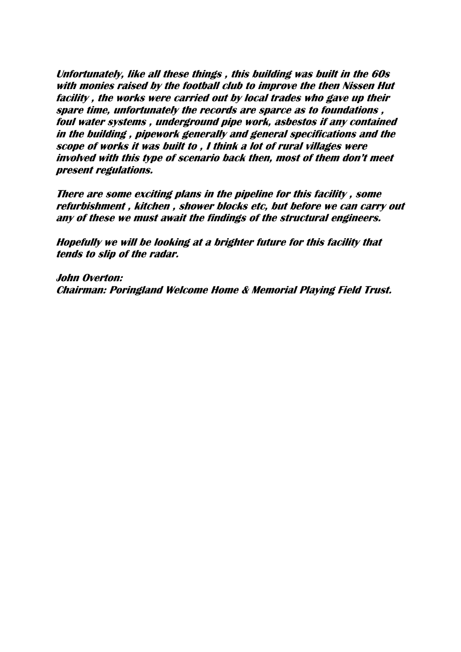**Unfortunately, like all these things , this building was built in the 60s with monies raised by the football club to improve the then Nissen Hut facility , the works were carried out by local trades who gave up their spare time, unfortunately the records are sparce as to foundations , foul water systems , underground pipe work, asbestos if any contained in the building , pipework generally and general specifications and the scope of works it was built to , I think a lot of rural villages were**  *involved with this type of scenario back then, most of them don't meet* **present regulations.**

**There are some exciting plans in the pipeline for this facility , some refurbishment , kitchen , shower blocks etc, but before we can carry out any of these we must await the findings of the structural engineers.**

**Hopefully we will be looking at a brighter future for this facility that tends to slip of the radar.**

**John Overton: Chairman: Poringland Welcome Home & Memorial Playing Field Trust.**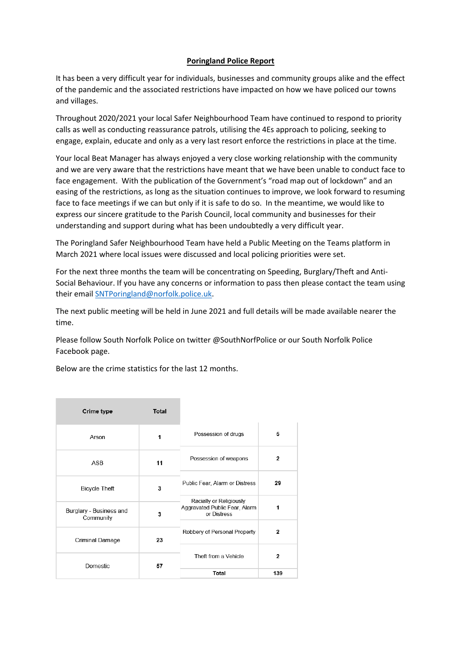### **Poringland Police Report**

It has been a very difficult year for individuals, businesses and community groups alike and the effect of the pandemic and the associated restrictions have impacted on how we have policed our towns and villages.

Throughout 2020/2021 your local Safer Neighbourhood Team have continued to respond to priority calls as well as conducting reassurance patrols, utilising the 4Es approach to policing, seeking to engage, explain, educate and only as a very last resort enforce the restrictions in place at the time.

Your local Beat Manager has always enjoyed a very close working relationship with the community and we are very aware that the restrictions have meant that we have been unable to conduct face to face engagement. With the publication of the Government's "road map out of lockdown" and an easing of the restrictions, as long as the situation continues to improve, we look forward to resuming face to face meetings if we can but only if it is safe to do so. In the meantime, we would like to express our sincere gratitude to the Parish Council, local community and businesses for their understanding and support during what has been undoubtedly a very difficult year.

The Poringland Safer Neighbourhood Team have held a Public Meeting on the Teams platform in March 2021 where local issues were discussed and local policing priorities were set.

For the next three months the team will be concentrating on Speeding, Burglary/Theft and Anti-Social Behaviour. If you have any concerns or information to pass then please contact the team using their email [SNTPoringland@norfolk.police.uk.](mailto:SNTPoringland@norfolk.police.uk)

The next public meeting will be held in June 2021 and full details will be made available nearer the time.

Please follow South Norfolk Police on twitter @SouthNorfPolice or our South Norfolk Police Facebook page.

Below are the crime statistics for the last 12 months.

| Crime type                                | <b>Total</b> |                                                                         |                |
|-------------------------------------------|--------------|-------------------------------------------------------------------------|----------------|
| Arson                                     | 1            | Possession of drugs                                                     | 5              |
| ASB                                       | 11           | Possession of weapons                                                   | $\overline{2}$ |
| <b>Bicycle Theft</b>                      | 3            | Public Fear, Alarm or Distress                                          | 29             |
| Burglary - Business and<br>3<br>Community |              | Racially or Religiously<br>Aggravated Public Fear, Alarm<br>or Distress | 1              |
| Criminal Damage                           | 23           | Robbery of Personal Property                                            | 2              |
| Domestic<br>57                            |              | Theft from a Vehicle                                                    | $\overline{2}$ |
|                                           |              | Total                                                                   | 139            |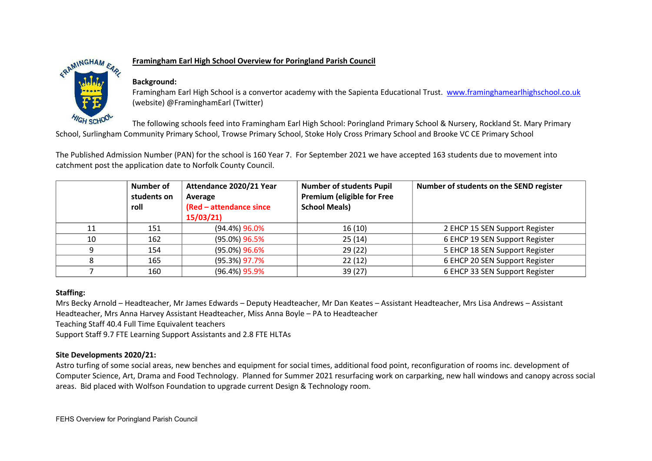

### **Framingham Earl High School Overview for Poringland Parish Council**

### **Background:**

Framingham Earl High School is a convertor academy with the Sapienta Educational Trust. [www.framinghamearlhighschool.co.uk](http://www.framinghamearlhighschool.co.uk/) (website) @FraminghamEarl (Twitter)

The following schools feed into Framingham Earl High School: Poringland Primary School & Nursery, Rockland St. Mary Primary School, Surlingham Community Primary School, Trowse Primary School, Stoke Holy Cross Primary School and Brooke VC CE Primary School

The Published Admission Number (PAN) for the school is 160 Year 7. For September 2021 we have accepted 163 students due to movement into catchment post the application date to Norfolk County Council.

|    | Number of<br>students on<br>roll | Attendance 2020/21 Year<br>Average<br>(Red - attendance since<br>15/03/21 | <b>Number of students Pupil</b><br><b>Premium (eligible for Free</b><br><b>School Meals)</b> | Number of students on the SEND register |
|----|----------------------------------|---------------------------------------------------------------------------|----------------------------------------------------------------------------------------------|-----------------------------------------|
| 11 | 151                              | $(94.4\%)$ 96.0%                                                          | 16(10)                                                                                       | 2 EHCP 15 SEN Support Register          |
| 10 | 162                              | $(95.0\%)$ 96.5%                                                          | 25(14)                                                                                       | 6 EHCP 19 SEN Support Register          |
|    | 154                              | $(95.0\%)$ 96.6%                                                          | 29(22)                                                                                       | 5 EHCP 18 SEN Support Register          |
|    | 165                              | $(95.3\%)$ 97.7%                                                          | 22(12)                                                                                       | 6 EHCP 20 SEN Support Register          |
|    | 160                              | $(96.4\%)$ 95.9%                                                          | 39 (27)                                                                                      | 6 EHCP 33 SEN Support Register          |

### **Staffing:**

Mrs Becky Arnold – Headteacher, Mr James Edwards – Deputy Headteacher, Mr Dan Keates – Assistant Headteacher, Mrs Lisa Andrews – Assistant Headteacher, Mrs Anna Harvey Assistant Headteacher, Miss Anna Boyle - PA to Headteacher

Teaching Staff 40.4 Full Time Equivalent teachers

Support Staff 9.7 FTE Learning Support Assistants and 2.8 FTE HLTAs

### **Site Developments 2020/21:**

Astro turfing of some social areas, new benches and equipment for social times, additional food point, reconfiguration of rooms inc. development of Computer Science, Art, Drama and Food Technology. Planned for Summer 2021 resurfacing work on carparking, new hall windows and canopy across social areas. Bid placed with Wolfson Foundation to upgrade current Design & Technology room.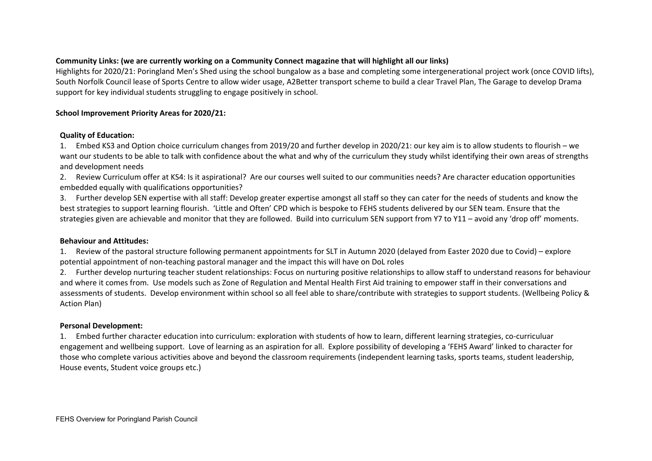### **Community Links: (we are currently working on a Community Connect magazine that will highlight all our links)**

Highlights for 2020/21: Poringland Men's Shed using the school bungalow as a base and completing some intergenerational project work (once COVID lifts), South Norfolk Council lease of Sports Centre to allow wider usage, A2Better transport scheme to build a clear Travel Plan, The Garage to develop Drama support for key individual students struggling to engage positively in school.

### **School Improvement Priority Areas for 2020/21:**

### **Quality of Education:**

1. Embed KS3 and Option choice curriculum changes from 2019/20 and further develop in 2020/21: our key aim is to allow students to flourish we want our students to be able to talk with confidence about the what and why of the curriculum they study whilst identifying their own areas of strengths and development needs

2. Review Curriculum offer at KS4: Is it aspirational? Are our courses well suited to our communities needs? Are character education opportunities embedded equally with qualifications opportunities?

3. Further develop SEN expertise with all staff: Develop greater expertise amongst all staff so they can cater for the needs of students and know the best strategies to support learning flourish. 'Little and Often' CPD which is bespoke to FEHS students delivered by our SEN team. Ensure that the strategies given are achievable and monitor that they are followed. Build into curriculum SEN support from Y7 to Y11 – avoid any 'drop off' moments.

#### **Behaviour and Attitudes:**

1. Review of the pastoral structure following permanent appointments for SLT in Autumn 2020 (delayed from Easter 2020 due to Covid) explore potential appointment of non-teaching pastoral manager and the impact this will have on DoL roles

2. Further develop nurturing teacher student relationships: Focus on nurturing positive relationships to allow staff to understand reasons for behaviour and where it comes from. Use models such as Zone of Regulation and Mental Health First Aid training to empower staff in their conversations and assessments of students. Develop environment within school so all feel able to share/contribute with strategies to support students. (Wellbeing Policy & Action Plan)

### **Personal Development:**

1. Embed further character education into curriculum: exploration with students of how to learn, different learning strategies, co-curriculuar engagement and wellbeing support. Love of learning as an aspiration for all. Explore possibility of developing a 'FEHS Award' linked to character for those who complete various activities above and beyond the classroom requirements (independent learning tasks, sports teams, student leadership, House events, Student voice groups etc.)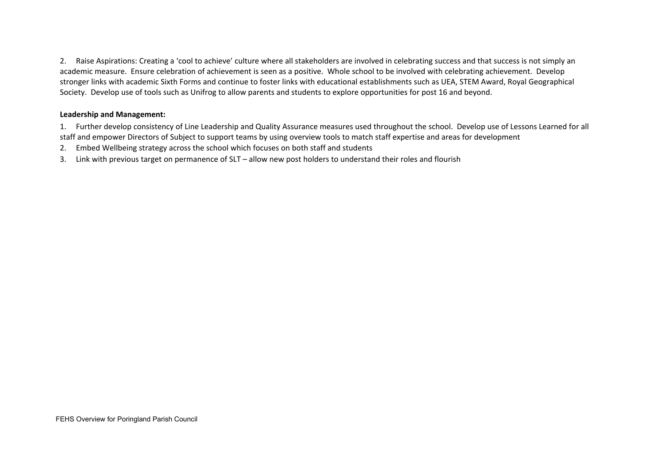2. Raise Aspirations: Creating a 'cool to achieve' culture where all stakeholders are involved in celebrating success and that success is not simply an academic measure. Ensure celebration of achievement is seen as a positive. Whole school to be involved with celebrating achievement. Develop stronger links with academic Sixth Forms and continue to foster links with educational establishments such as UEA, STEM Award, Royal Geographical Society. Develop use of tools such as Unifrog to allow parents and students to explore opportunities for post 16 and beyond.

### **Leadership and Management:**

1. Further develop consistency of Line Leadership and Quality Assurance measures used throughout the school. Develop use of Lessons Learned for all staff and empower Directors of Subject to support teams by using overview tools to match staff expertise and areas for development

- 2. Embed Wellbeing strategy across the school which focuses on both staff and students
- 3. Link with previous target on permanence of SLT allow new post holders to understand their roles and flourish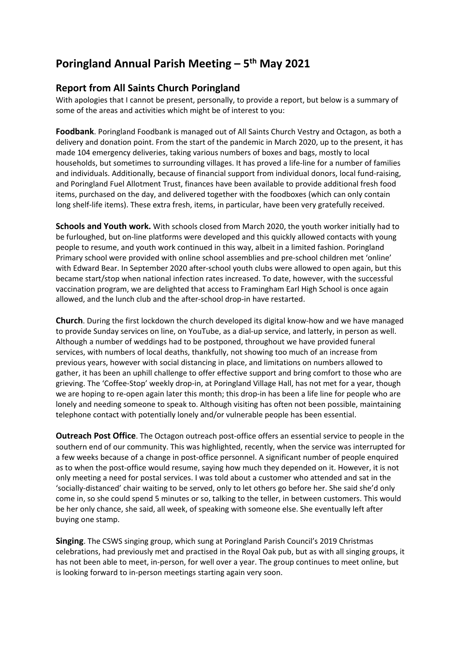# **Poringland Annual Parish Meeting – 5th May 2021**

# **Report from All Saints Church Poringland**

With apologies that I cannot be present, personally, to provide a report, but below is a summary of some of the areas and activities which might be of interest to you:

**Foodbank**. Poringland Foodbank is managed out of All Saints Church Vestry and Octagon, as both a delivery and donation point. From the start of the pandemic in March 2020, up to the present, it has made 104 emergency deliveries, taking various numbers of boxes and bags, mostly to local households, but sometimes to surrounding villages. It has proved a life-line for a number of families and individuals. Additionally, because of financial support from individual donors, local fund-raising, and Poringland Fuel Allotment Trust, finances have been available to provide additional fresh food items, purchased on the day, and delivered together with the foodboxes (which can only contain long shelf-life items). These extra fresh, items, in particular, have been very gratefully received.

**Schools and Youth work.** With schools closed from March 2020, the youth worker initially had to be furloughed, but on-line platforms were developed and this quickly allowed contacts with young people to resume, and youth work continued in this way, albeit in a limited fashion. Poringland Primary school were provided with online school assemblies and pre-school children met 'online' with Edward Bear. In September 2020 after-school youth clubs were allowed to open again, but this became start/stop when national infection rates increased. To date, however, with the successful vaccination program, we are delighted that access to Framingham Earl High School is once again allowed, and the lunch club and the after-school drop-in have restarted.

**Church**. During the first lockdown the church developed its digital know-how and we have managed to provide Sunday services on line, on YouTube, as a dial-up service, and latterly, in person as well. Although a number of weddings had to be postponed, throughout we have provided funeral services, with numbers of local deaths, thankfully, not showing too much of an increase from previous years, however with social distancing in place, and limitations on numbers allowed to gather, it has been an uphill challenge to offer effective support and bring comfort to those who are grieving. The 'Coffee-Stop' weekly drop-in, at Poringland Village Hall, has not met for a year, though we are hoping to re-open again later this month; this drop-in has been a life line for people who are lonely and needing someone to speak to. Although visiting has often not been possible, maintaining telephone contact with potentially lonely and/or vulnerable people has been essential.

**Outreach Post Office**. The Octagon outreach post-office offers an essential service to people in the southern end of our community. This was highlighted, recently, when the service was interrupted for a few weeks because of a change in post-office personnel. A significant number of people enquired as to when the post-office would resume, saying how much they depended on it. However, it is not only meeting a need for postal services. I was told about a customer who attended and sat in the 'socially-distanced' chair waiting to be served, only to let others go before her. She said she'd only come in, so she could spend 5 minutes or so, talking to the teller, in between customers. This would be her only chance, she said, all week, of speaking with someone else. She eventually left after buying one stamp.

**Singing**. The CSWS singing group, which sung at Poringland Parish Council's 2019 Christmas celebrations, had previously met and practised in the Royal Oak pub, but as with all singing groups, it has not been able to meet, in-person, for well over a year. The group continues to meet online, but is looking forward to in-person meetings starting again very soon.